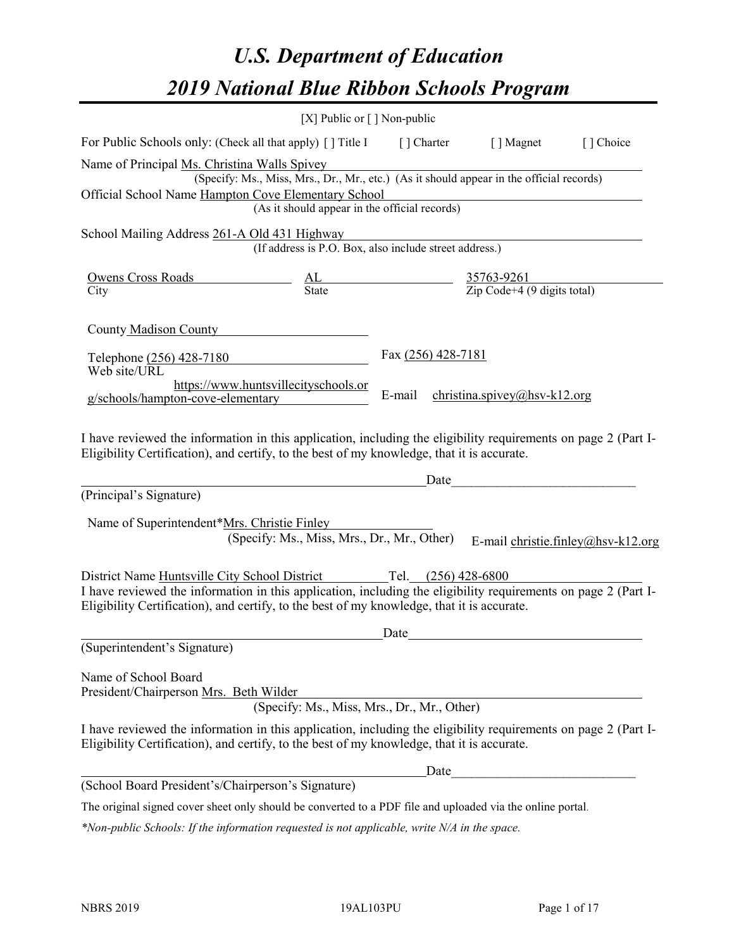# *U.S. Department of Education 2019 National Blue Ribbon Schools Program*

|                                                                                                                                                                                                                                                                                   | [X] Public or $\lceil$ ] Non-public                                                                                                       |                                                                                           |                              |                                    |
|-----------------------------------------------------------------------------------------------------------------------------------------------------------------------------------------------------------------------------------------------------------------------------------|-------------------------------------------------------------------------------------------------------------------------------------------|-------------------------------------------------------------------------------------------|------------------------------|------------------------------------|
| For Public Schools only: (Check all that apply) [] Title I                                                                                                                                                                                                                        |                                                                                                                                           |                                                                                           | [] Charter [] Magnet         | [] Choice                          |
| Name of Principal Ms. Christina Walls Spivey<br>Official School Name Hampton Cove Elementary School                                                                                                                                                                               | (Specify: Ms., Miss, Mrs., Dr., Mr., etc.) (As it should appear in the official records)<br>(As it should appear in the official records) |                                                                                           |                              |                                    |
|                                                                                                                                                                                                                                                                                   |                                                                                                                                           |                                                                                           |                              |                                    |
| School Mailing Address 261-A Old 431 Highway                                                                                                                                                                                                                                      | (If address is P.O. Box, also include street address.)                                                                                    |                                                                                           |                              |                                    |
| City                                                                                                                                                                                                                                                                              |                                                                                                                                           | <u>Owens Cross Roads</u><br>City City 35763-9261<br>City City 21p Code+4 (9 digits total) |                              |                                    |
| County Madison County                                                                                                                                                                                                                                                             |                                                                                                                                           |                                                                                           |                              |                                    |
| Telephone (256) 428-7180<br>Web site/URL                                                                                                                                                                                                                                          |                                                                                                                                           | Fax (256) 428-7181                                                                        |                              |                                    |
| g/schools/hampton-cove-elementary                                                                                                                                                                                                                                                 | https://www.huntsvillecityschools.or                                                                                                      | E-mail                                                                                    | christina.spivey@hsv-k12.org |                                    |
| I have reviewed the information in this application, including the eligibility requirements on page 2 (Part I-<br>Eligibility Certification), and certify, to the best of my knowledge, that it is accurate.                                                                      |                                                                                                                                           |                                                                                           |                              |                                    |
|                                                                                                                                                                                                                                                                                   |                                                                                                                                           | Date                                                                                      |                              |                                    |
| (Principal's Signature)                                                                                                                                                                                                                                                           |                                                                                                                                           |                                                                                           |                              |                                    |
| Name of Superintendent*Mrs. Christie Finley                                                                                                                                                                                                                                       | (Specify: Ms., Miss, Mrs., Dr., Mr., Other)                                                                                               |                                                                                           |                              | E-mail christie.finley@hsv-k12.org |
| District Name Huntsville City School District Tel. (256) 428-6800<br>I have reviewed the information in this application, including the eligibility requirements on page 2 (Part I-<br>Eligibility Certification), and certify, to the best of my knowledge, that it is accurate. |                                                                                                                                           |                                                                                           |                              |                                    |
|                                                                                                                                                                                                                                                                                   |                                                                                                                                           | Date                                                                                      |                              |                                    |
| (Superintendent's Signature)                                                                                                                                                                                                                                                      |                                                                                                                                           |                                                                                           |                              |                                    |
| Name of School Board<br>President/Chairperson Mrs. Beth Wilder                                                                                                                                                                                                                    | (Specify: Ms., Miss, Mrs., Dr., Mr., Other)                                                                                               |                                                                                           |                              |                                    |
| I have reviewed the information in this application, including the eligibility requirements on page 2 (Part I-<br>Eligibility Certification), and certify, to the best of my knowledge, that it is accurate.                                                                      |                                                                                                                                           |                                                                                           |                              |                                    |
|                                                                                                                                                                                                                                                                                   |                                                                                                                                           | Date                                                                                      |                              |                                    |
| (School Board President's/Chairperson's Signature)                                                                                                                                                                                                                                |                                                                                                                                           |                                                                                           |                              |                                    |
| The original signed cover sheet only should be converted to a PDF file and uploaded via the online portal.                                                                                                                                                                        |                                                                                                                                           |                                                                                           |                              |                                    |

*\*Non-public Schools: If the information requested is not applicable, write N/A in the space.*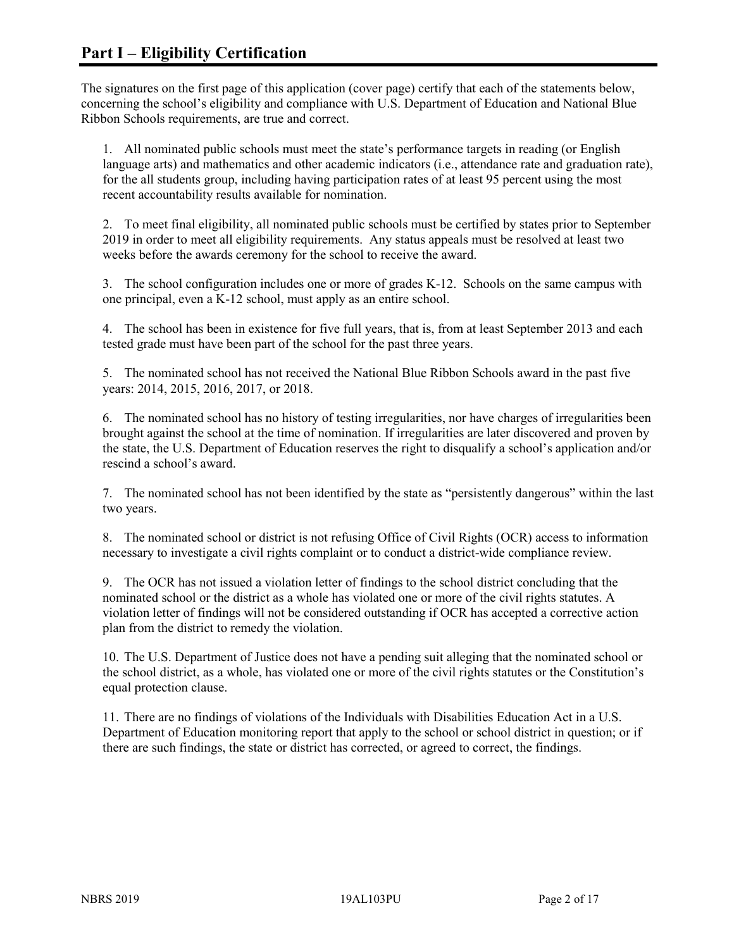The signatures on the first page of this application (cover page) certify that each of the statements below, concerning the school's eligibility and compliance with U.S. Department of Education and National Blue Ribbon Schools requirements, are true and correct.

1. All nominated public schools must meet the state's performance targets in reading (or English language arts) and mathematics and other academic indicators (i.e., attendance rate and graduation rate), for the all students group, including having participation rates of at least 95 percent using the most recent accountability results available for nomination.

2. To meet final eligibility, all nominated public schools must be certified by states prior to September 2019 in order to meet all eligibility requirements. Any status appeals must be resolved at least two weeks before the awards ceremony for the school to receive the award.

3. The school configuration includes one or more of grades K-12. Schools on the same campus with one principal, even a K-12 school, must apply as an entire school.

4. The school has been in existence for five full years, that is, from at least September 2013 and each tested grade must have been part of the school for the past three years.

5. The nominated school has not received the National Blue Ribbon Schools award in the past five years: 2014, 2015, 2016, 2017, or 2018.

6. The nominated school has no history of testing irregularities, nor have charges of irregularities been brought against the school at the time of nomination. If irregularities are later discovered and proven by the state, the U.S. Department of Education reserves the right to disqualify a school's application and/or rescind a school's award.

7. The nominated school has not been identified by the state as "persistently dangerous" within the last two years.

8. The nominated school or district is not refusing Office of Civil Rights (OCR) access to information necessary to investigate a civil rights complaint or to conduct a district-wide compliance review.

9. The OCR has not issued a violation letter of findings to the school district concluding that the nominated school or the district as a whole has violated one or more of the civil rights statutes. A violation letter of findings will not be considered outstanding if OCR has accepted a corrective action plan from the district to remedy the violation.

10. The U.S. Department of Justice does not have a pending suit alleging that the nominated school or the school district, as a whole, has violated one or more of the civil rights statutes or the Constitution's equal protection clause.

11. There are no findings of violations of the Individuals with Disabilities Education Act in a U.S. Department of Education monitoring report that apply to the school or school district in question; or if there are such findings, the state or district has corrected, or agreed to correct, the findings.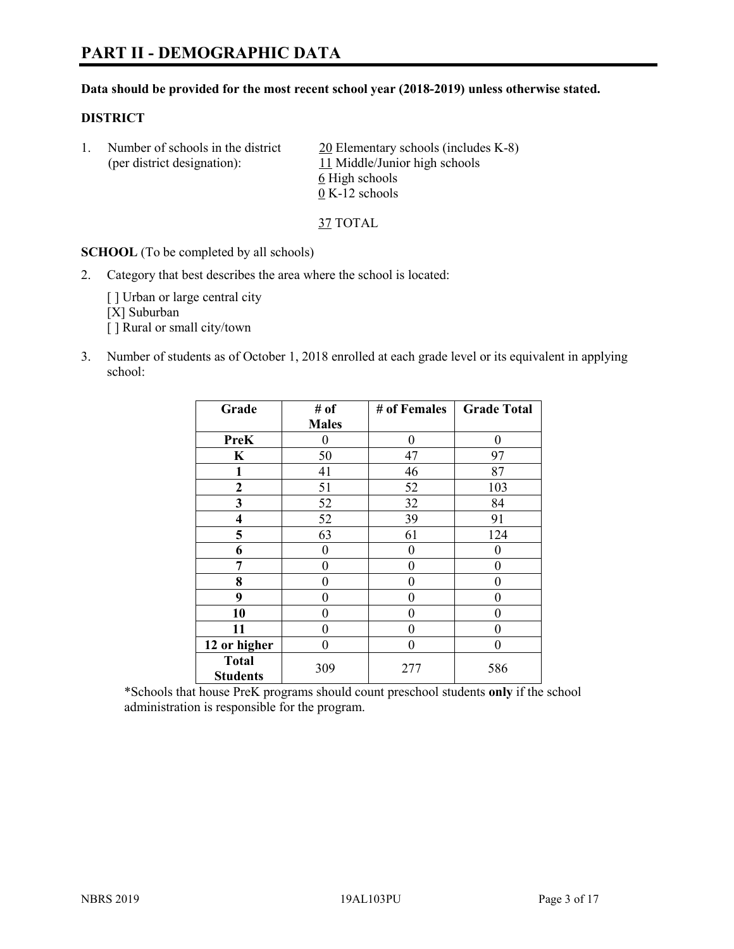# **PART II - DEMOGRAPHIC DATA**

#### **Data should be provided for the most recent school year (2018-2019) unless otherwise stated.**

#### **DISTRICT**

1. Number of schools in the district  $20$  Elementary schools (includes K-8) (per district designation): 11 Middle/Junior high schools 6 High schools 0 K-12 schools

37 TOTAL

**SCHOOL** (To be completed by all schools)

2. Category that best describes the area where the school is located:

[ ] Urban or large central city [X] Suburban [] Rural or small city/town

3. Number of students as of October 1, 2018 enrolled at each grade level or its equivalent in applying school:

| Grade                   | # of         | # of Females | <b>Grade Total</b> |
|-------------------------|--------------|--------------|--------------------|
|                         | <b>Males</b> |              |                    |
| <b>PreK</b>             | 0            | $\theta$     | 0                  |
| $\mathbf K$             | 50           | 47           | 97                 |
| 1                       | 41           | 46           | 87                 |
| 2                       | 51           | 52           | 103                |
| 3                       | 52           | 32           | 84                 |
| $\overline{\mathbf{4}}$ | 52           | 39           | 91                 |
| 5                       | 63           | 61           | 124                |
| 6                       | 0            | $\theta$     | 0                  |
| 7                       | 0            | $\theta$     | 0                  |
| 8                       | 0            | 0            | 0                  |
| 9                       | 0            | $\theta$     | 0                  |
| 10                      | 0            | 0            | 0                  |
| 11                      | $\theta$     | 0            | 0                  |
| 12 or higher            | 0            | 0            | 0                  |
| <b>Total</b>            | 309          | 277          | 586                |
| <b>Students</b>         |              |              |                    |

\*Schools that house PreK programs should count preschool students **only** if the school administration is responsible for the program.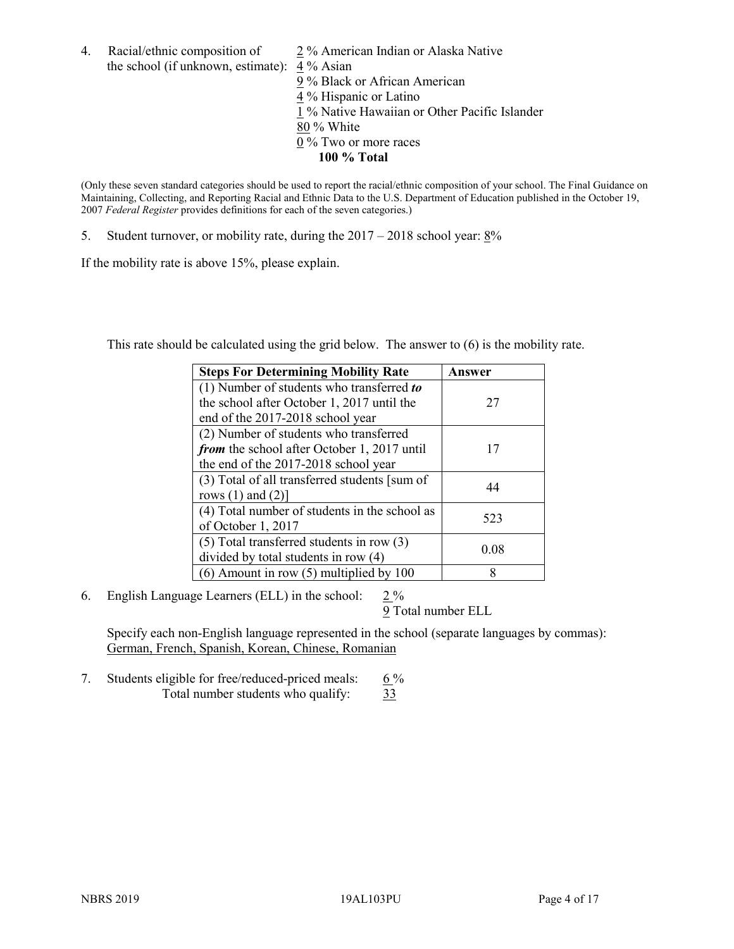4. Racial/ethnic composition of  $\qquad 2\%$  American Indian or Alaska Native the school (if unknown, estimate): 4 % Asian

 % Black or African American % Hispanic or Latino % Native Hawaiian or Other Pacific Islander 80 % White % Two or more races **100 % Total**

(Only these seven standard categories should be used to report the racial/ethnic composition of your school. The Final Guidance on Maintaining, Collecting, and Reporting Racial and Ethnic Data to the U.S. Department of Education published in the October 19, 2007 *Federal Register* provides definitions for each of the seven categories.)

5. Student turnover, or mobility rate, during the 2017 – 2018 school year: 8%

If the mobility rate is above 15%, please explain.

This rate should be calculated using the grid below. The answer to (6) is the mobility rate.

| <b>Steps For Determining Mobility Rate</b>    | Answer |
|-----------------------------------------------|--------|
| (1) Number of students who transferred to     |        |
| the school after October 1, 2017 until the    | 27     |
| end of the 2017-2018 school year              |        |
| (2) Number of students who transferred        |        |
| from the school after October 1, 2017 until   | 17     |
| the end of the 2017-2018 school year          |        |
| (3) Total of all transferred students [sum of | 44     |
| rows $(1)$ and $(2)$ ]                        |        |
| (4) Total number of students in the school as |        |
| of October 1, 2017                            | 523    |
| $(5)$ Total transferred students in row $(3)$ |        |
| divided by total students in row (4)          | 0.08   |
| $(6)$ Amount in row $(5)$ multiplied by 100   | 8      |

6. English Language Learners (ELL) in the school:  $2\%$ 

9 Total number ELL

Specify each non-English language represented in the school (separate languages by commas): German, French, Spanish, Korean, Chinese, Romanian

7. Students eligible for free/reduced-priced meals:  $6\%$ Total number students who qualify:  $\frac{33}{3}$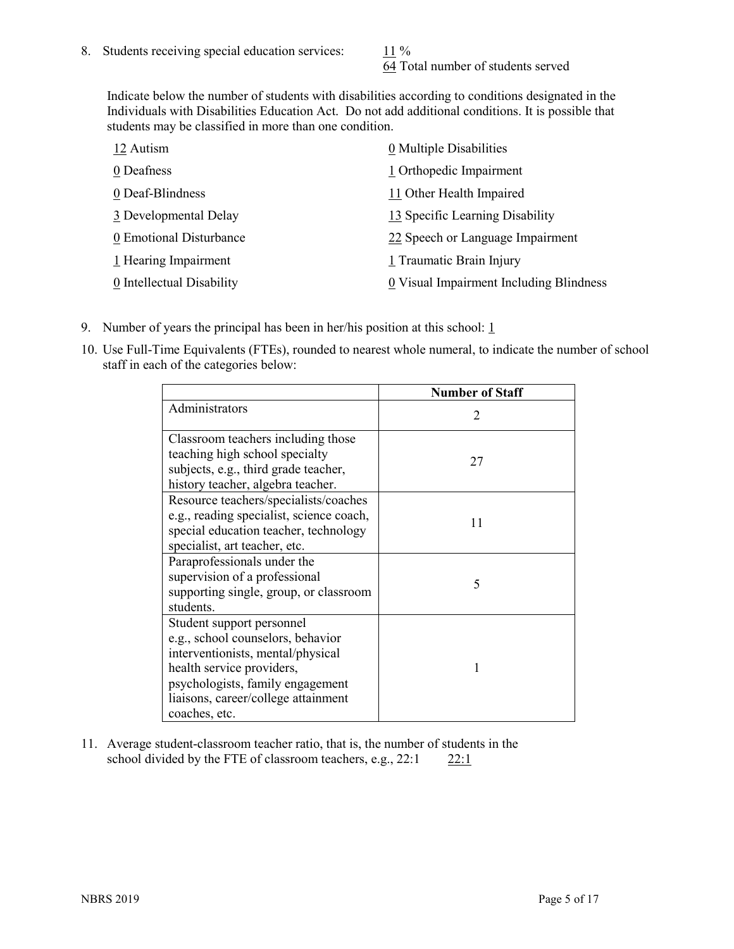64 Total number of students served

Indicate below the number of students with disabilities according to conditions designated in the Individuals with Disabilities Education Act. Do not add additional conditions. It is possible that students may be classified in more than one condition.

| 12 Autism                 | 0 Multiple Disabilities                 |
|---------------------------|-----------------------------------------|
| 0 Deafness                | 1 Orthopedic Impairment                 |
| 0 Deaf-Blindness          | 11 Other Health Impaired                |
| 3 Developmental Delay     | 13 Specific Learning Disability         |
| 0 Emotional Disturbance   | 22 Speech or Language Impairment        |
| 1 Hearing Impairment      | 1 Traumatic Brain Injury                |
| 0 Intellectual Disability | 0 Visual Impairment Including Blindness |

- 9. Number of years the principal has been in her/his position at this school:  $1$
- 10. Use Full-Time Equivalents (FTEs), rounded to nearest whole numeral, to indicate the number of school staff in each of the categories below:

|                                                                                                                                                                                                                              | <b>Number of Staff</b>      |
|------------------------------------------------------------------------------------------------------------------------------------------------------------------------------------------------------------------------------|-----------------------------|
| Administrators                                                                                                                                                                                                               | $\mathcal{D}_{\mathcal{A}}$ |
| Classroom teachers including those<br>teaching high school specialty<br>subjects, e.g., third grade teacher,<br>history teacher, algebra teacher.                                                                            | 27                          |
| Resource teachers/specialists/coaches<br>e.g., reading specialist, science coach,<br>special education teacher, technology<br>specialist, art teacher, etc.                                                                  | 11                          |
| Paraprofessionals under the<br>supervision of a professional<br>supporting single, group, or classroom<br>students.                                                                                                          | 5                           |
| Student support personnel<br>e.g., school counselors, behavior<br>interventionists, mental/physical<br>health service providers,<br>psychologists, family engagement<br>liaisons, career/college attainment<br>coaches, etc. |                             |

11. Average student-classroom teacher ratio, that is, the number of students in the school divided by the FTE of classroom teachers, e.g.,  $22:1$  22:1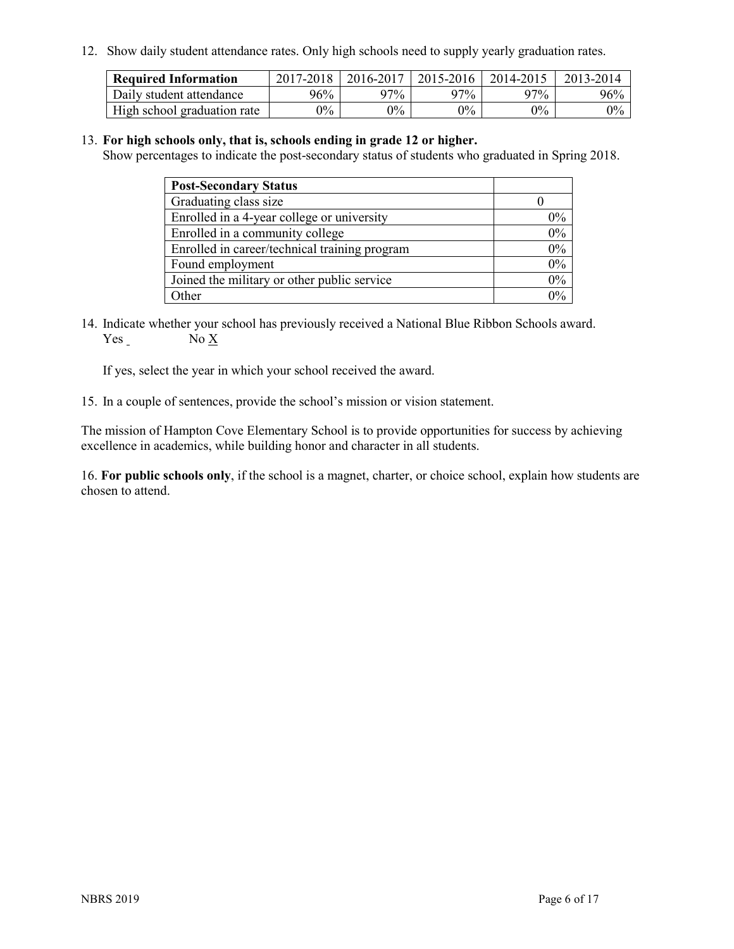12. Show daily student attendance rates. Only high schools need to supply yearly graduation rates.

| <b>Required Information</b> | 2017-2018 | 2016-2017 | 2015-2016 | 2014-2015 | 2013-2014 |
|-----------------------------|-----------|-----------|-----------|-----------|-----------|
| Daily student attendance    | 96%       | $97\%$    | 97%       | 97%       | 96%       |
| High school graduation rate | $0\%$     | $0\%$     | $0\%$     | $9\%$     | $0\%$     |

#### 13. **For high schools only, that is, schools ending in grade 12 or higher.**

Show percentages to indicate the post-secondary status of students who graduated in Spring 2018.

| <b>Post-Secondary Status</b>                  |       |
|-----------------------------------------------|-------|
| Graduating class size                         |       |
| Enrolled in a 4-year college or university    | $0\%$ |
| Enrolled in a community college               | 0%    |
| Enrolled in career/technical training program | 0%    |
| Found employment                              | 0%    |
| Joined the military or other public service   | 0%    |
| Other                                         | $0\%$ |

14. Indicate whether your school has previously received a National Blue Ribbon Schools award. Yes No X

If yes, select the year in which your school received the award.

15. In a couple of sentences, provide the school's mission or vision statement.

The mission of Hampton Cove Elementary School is to provide opportunities for success by achieving excellence in academics, while building honor and character in all students.

16. **For public schools only**, if the school is a magnet, charter, or choice school, explain how students are chosen to attend.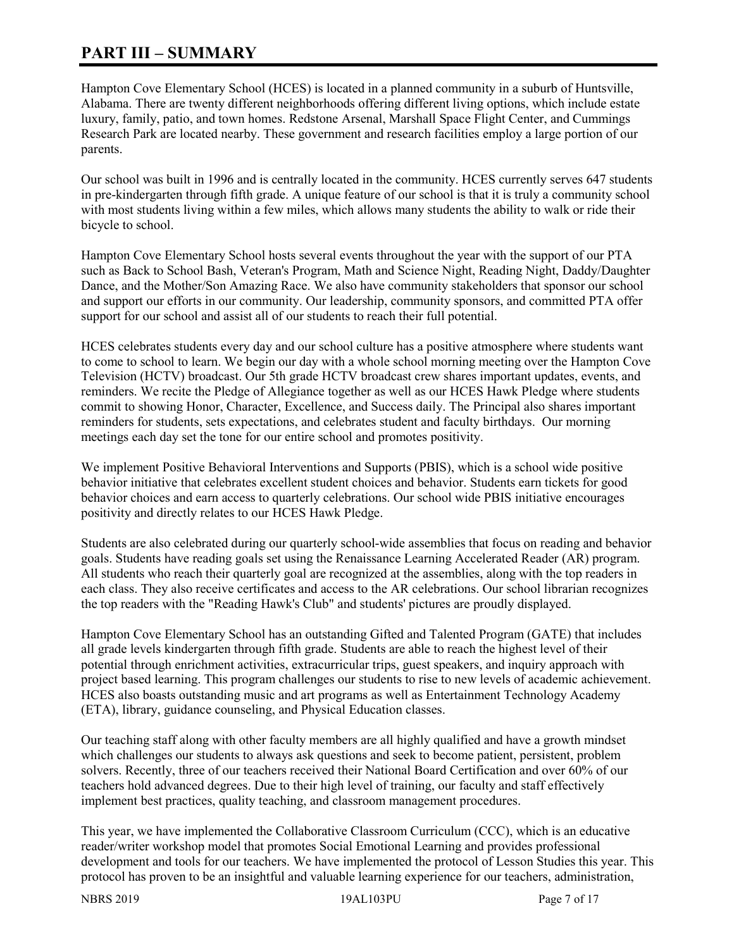## **PART III – SUMMARY**

Hampton Cove Elementary School (HCES) is located in a planned community in a suburb of Huntsville, Alabama. There are twenty different neighborhoods offering different living options, which include estate luxury, family, patio, and town homes. Redstone Arsenal, Marshall Space Flight Center, and Cummings Research Park are located nearby. These government and research facilities employ a large portion of our parents.

Our school was built in 1996 and is centrally located in the community. HCES currently serves 647 students in pre-kindergarten through fifth grade. A unique feature of our school is that it is truly a community school with most students living within a few miles, which allows many students the ability to walk or ride their bicycle to school.

Hampton Cove Elementary School hosts several events throughout the year with the support of our PTA such as Back to School Bash, Veteran's Program, Math and Science Night, Reading Night, Daddy/Daughter Dance, and the Mother/Son Amazing Race. We also have community stakeholders that sponsor our school and support our efforts in our community. Our leadership, community sponsors, and committed PTA offer support for our school and assist all of our students to reach their full potential.

HCES celebrates students every day and our school culture has a positive atmosphere where students want to come to school to learn. We begin our day with a whole school morning meeting over the Hampton Cove Television (HCTV) broadcast. Our 5th grade HCTV broadcast crew shares important updates, events, and reminders. We recite the Pledge of Allegiance together as well as our HCES Hawk Pledge where students commit to showing Honor, Character, Excellence, and Success daily. The Principal also shares important reminders for students, sets expectations, and celebrates student and faculty birthdays. Our morning meetings each day set the tone for our entire school and promotes positivity.

We implement Positive Behavioral Interventions and Supports (PBIS), which is a school wide positive behavior initiative that celebrates excellent student choices and behavior. Students earn tickets for good behavior choices and earn access to quarterly celebrations. Our school wide PBIS initiative encourages positivity and directly relates to our HCES Hawk Pledge.

Students are also celebrated during our quarterly school-wide assemblies that focus on reading and behavior goals. Students have reading goals set using the Renaissance Learning Accelerated Reader (AR) program. All students who reach their quarterly goal are recognized at the assemblies, along with the top readers in each class. They also receive certificates and access to the AR celebrations. Our school librarian recognizes the top readers with the "Reading Hawk's Club" and students' pictures are proudly displayed.

Hampton Cove Elementary School has an outstanding Gifted and Talented Program (GATE) that includes all grade levels kindergarten through fifth grade. Students are able to reach the highest level of their potential through enrichment activities, extracurricular trips, guest speakers, and inquiry approach with project based learning. This program challenges our students to rise to new levels of academic achievement. HCES also boasts outstanding music and art programs as well as Entertainment Technology Academy (ETA), library, guidance counseling, and Physical Education classes.

Our teaching staff along with other faculty members are all highly qualified and have a growth mindset which challenges our students to always ask questions and seek to become patient, persistent, problem solvers. Recently, three of our teachers received their National Board Certification and over 60% of our teachers hold advanced degrees. Due to their high level of training, our faculty and staff effectively implement best practices, quality teaching, and classroom management procedures.

This year, we have implemented the Collaborative Classroom Curriculum (CCC), which is an educative reader/writer workshop model that promotes Social Emotional Learning and provides professional development and tools for our teachers. We have implemented the protocol of Lesson Studies this year. This protocol has proven to be an insightful and valuable learning experience for our teachers, administration,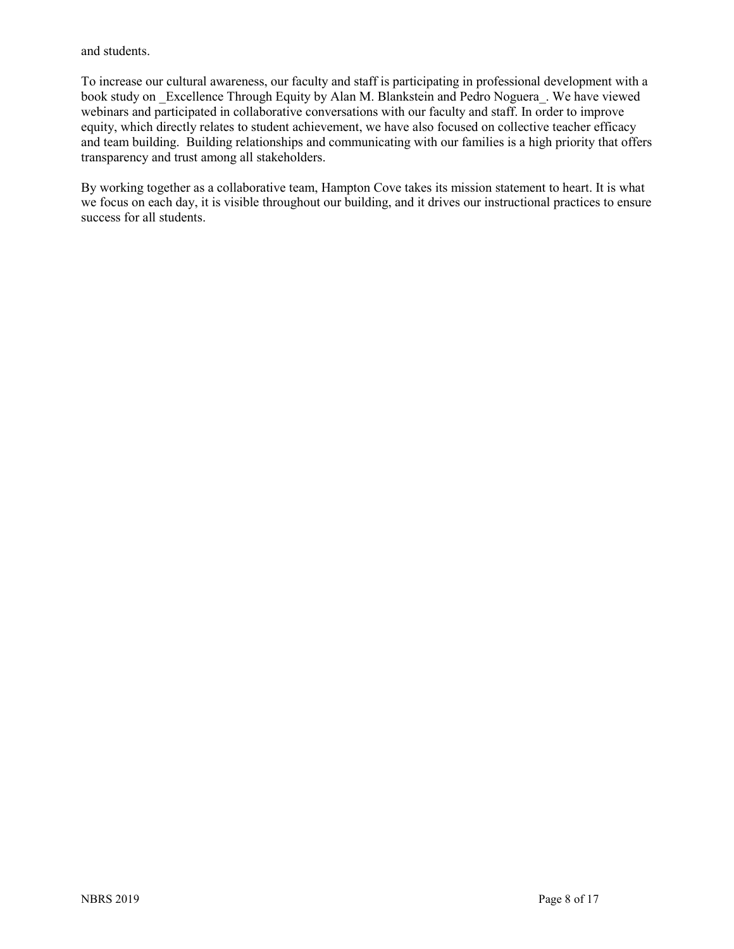and students.

To increase our cultural awareness, our faculty and staff is participating in professional development with a book study on Excellence Through Equity by Alan M. Blankstein and Pedro Noguera. We have viewed webinars and participated in collaborative conversations with our faculty and staff. In order to improve equity, which directly relates to student achievement, we have also focused on collective teacher efficacy and team building. Building relationships and communicating with our families is a high priority that offers transparency and trust among all stakeholders.

By working together as a collaborative team, Hampton Cove takes its mission statement to heart. It is what we focus on each day, it is visible throughout our building, and it drives our instructional practices to ensure success for all students.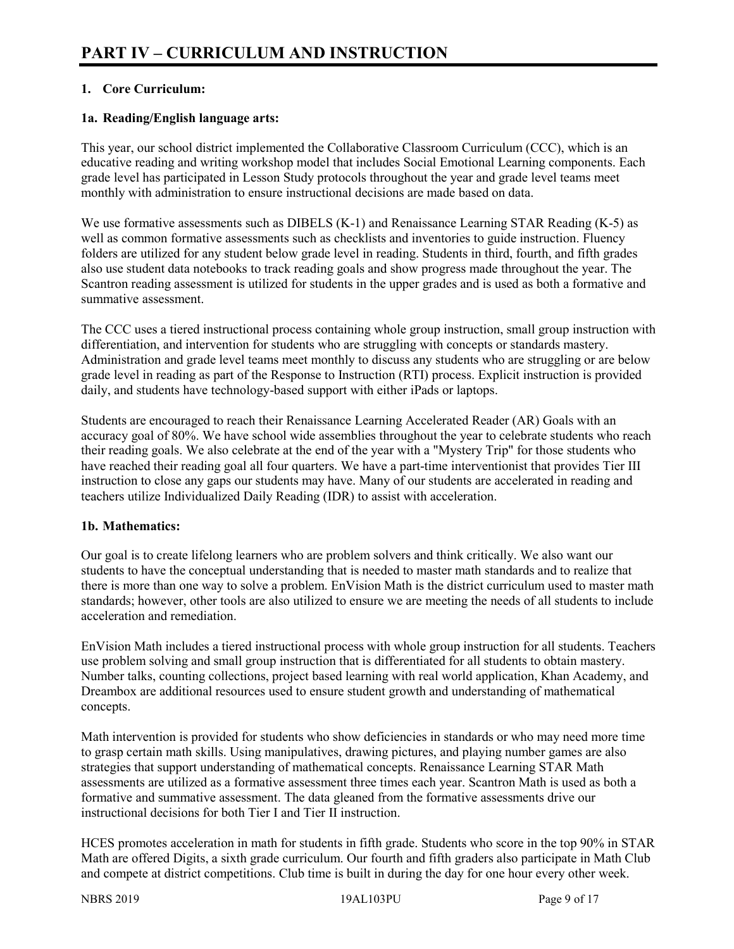## **1. Core Curriculum:**

## **1a. Reading/English language arts:**

This year, our school district implemented the Collaborative Classroom Curriculum (CCC), which is an educative reading and writing workshop model that includes Social Emotional Learning components. Each grade level has participated in Lesson Study protocols throughout the year and grade level teams meet monthly with administration to ensure instructional decisions are made based on data.

We use formative assessments such as DIBELS (K-1) and Renaissance Learning STAR Reading (K-5) as well as common formative assessments such as checklists and inventories to guide instruction. Fluency folders are utilized for any student below grade level in reading. Students in third, fourth, and fifth grades also use student data notebooks to track reading goals and show progress made throughout the year. The Scantron reading assessment is utilized for students in the upper grades and is used as both a formative and summative assessment.

The CCC uses a tiered instructional process containing whole group instruction, small group instruction with differentiation, and intervention for students who are struggling with concepts or standards mastery. Administration and grade level teams meet monthly to discuss any students who are struggling or are below grade level in reading as part of the Response to Instruction (RTI) process. Explicit instruction is provided daily, and students have technology-based support with either iPads or laptops.

Students are encouraged to reach their Renaissance Learning Accelerated Reader (AR) Goals with an accuracy goal of 80%. We have school wide assemblies throughout the year to celebrate students who reach their reading goals. We also celebrate at the end of the year with a "Mystery Trip" for those students who have reached their reading goal all four quarters. We have a part-time interventionist that provides Tier III instruction to close any gaps our students may have. Many of our students are accelerated in reading and teachers utilize Individualized Daily Reading (IDR) to assist with acceleration.

## **1b. Mathematics:**

Our goal is to create lifelong learners who are problem solvers and think critically. We also want our students to have the conceptual understanding that is needed to master math standards and to realize that there is more than one way to solve a problem. EnVision Math is the district curriculum used to master math standards; however, other tools are also utilized to ensure we are meeting the needs of all students to include acceleration and remediation.

EnVision Math includes a tiered instructional process with whole group instruction for all students. Teachers use problem solving and small group instruction that is differentiated for all students to obtain mastery. Number talks, counting collections, project based learning with real world application, Khan Academy, and Dreambox are additional resources used to ensure student growth and understanding of mathematical concepts.

Math intervention is provided for students who show deficiencies in standards or who may need more time to grasp certain math skills. Using manipulatives, drawing pictures, and playing number games are also strategies that support understanding of mathematical concepts. Renaissance Learning STAR Math assessments are utilized as a formative assessment three times each year. Scantron Math is used as both a formative and summative assessment. The data gleaned from the formative assessments drive our instructional decisions for both Tier I and Tier II instruction.

HCES promotes acceleration in math for students in fifth grade. Students who score in the top 90% in STAR Math are offered Digits, a sixth grade curriculum. Our fourth and fifth graders also participate in Math Club and compete at district competitions. Club time is built in during the day for one hour every other week.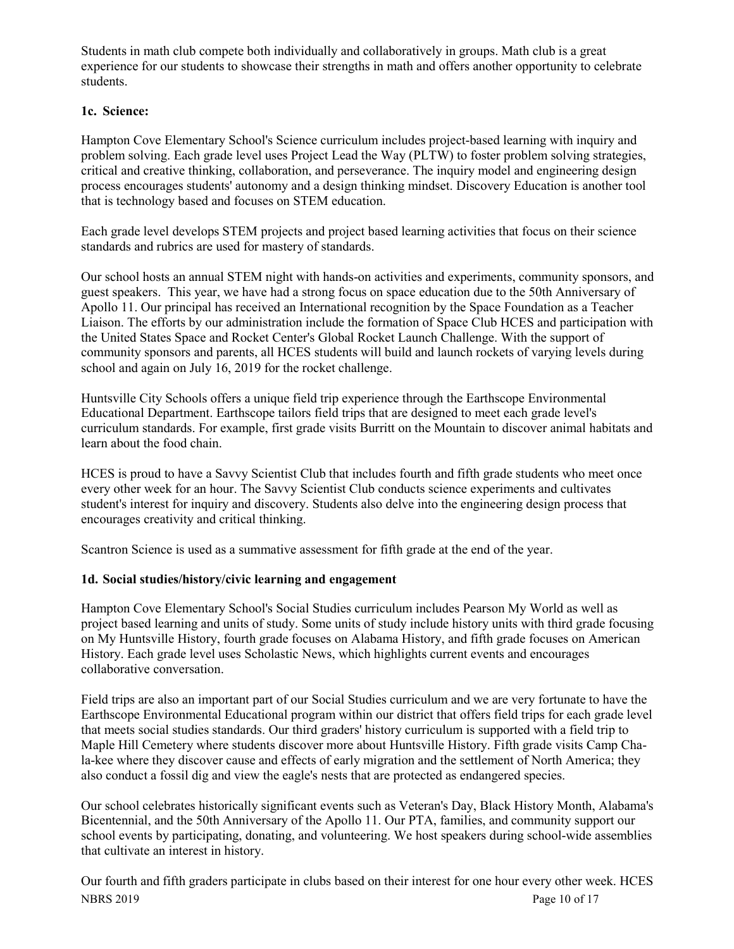Students in math club compete both individually and collaboratively in groups. Math club is a great experience for our students to showcase their strengths in math and offers another opportunity to celebrate students.

## **1c. Science:**

Hampton Cove Elementary School's Science curriculum includes project-based learning with inquiry and problem solving. Each grade level uses Project Lead the Way (PLTW) to foster problem solving strategies, critical and creative thinking, collaboration, and perseverance. The inquiry model and engineering design process encourages students' autonomy and a design thinking mindset. Discovery Education is another tool that is technology based and focuses on STEM education.

Each grade level develops STEM projects and project based learning activities that focus on their science standards and rubrics are used for mastery of standards.

Our school hosts an annual STEM night with hands-on activities and experiments, community sponsors, and guest speakers. This year, we have had a strong focus on space education due to the 50th Anniversary of Apollo 11. Our principal has received an International recognition by the Space Foundation as a Teacher Liaison. The efforts by our administration include the formation of Space Club HCES and participation with the United States Space and Rocket Center's Global Rocket Launch Challenge. With the support of community sponsors and parents, all HCES students will build and launch rockets of varying levels during school and again on July 16, 2019 for the rocket challenge.

Huntsville City Schools offers a unique field trip experience through the Earthscope Environmental Educational Department. Earthscope tailors field trips that are designed to meet each grade level's curriculum standards. For example, first grade visits Burritt on the Mountain to discover animal habitats and learn about the food chain.

HCES is proud to have a Savvy Scientist Club that includes fourth and fifth grade students who meet once every other week for an hour. The Savvy Scientist Club conducts science experiments and cultivates student's interest for inquiry and discovery. Students also delve into the engineering design process that encourages creativity and critical thinking.

Scantron Science is used as a summative assessment for fifth grade at the end of the year.

## **1d. Social studies/history/civic learning and engagement**

Hampton Cove Elementary School's Social Studies curriculum includes Pearson My World as well as project based learning and units of study. Some units of study include history units with third grade focusing on My Huntsville History, fourth grade focuses on Alabama History, and fifth grade focuses on American History. Each grade level uses Scholastic News, which highlights current events and encourages collaborative conversation.

Field trips are also an important part of our Social Studies curriculum and we are very fortunate to have the Earthscope Environmental Educational program within our district that offers field trips for each grade level that meets social studies standards. Our third graders' history curriculum is supported with a field trip to Maple Hill Cemetery where students discover more about Huntsville History. Fifth grade visits Camp Chala-kee where they discover cause and effects of early migration and the settlement of North America; they also conduct a fossil dig and view the eagle's nests that are protected as endangered species.

Our school celebrates historically significant events such as Veteran's Day, Black History Month, Alabama's Bicentennial, and the 50th Anniversary of the Apollo 11. Our PTA, families, and community support our school events by participating, donating, and volunteering. We host speakers during school-wide assemblies that cultivate an interest in history.

NBRS 2019 Page 10 of 17 Our fourth and fifth graders participate in clubs based on their interest for one hour every other week. HCES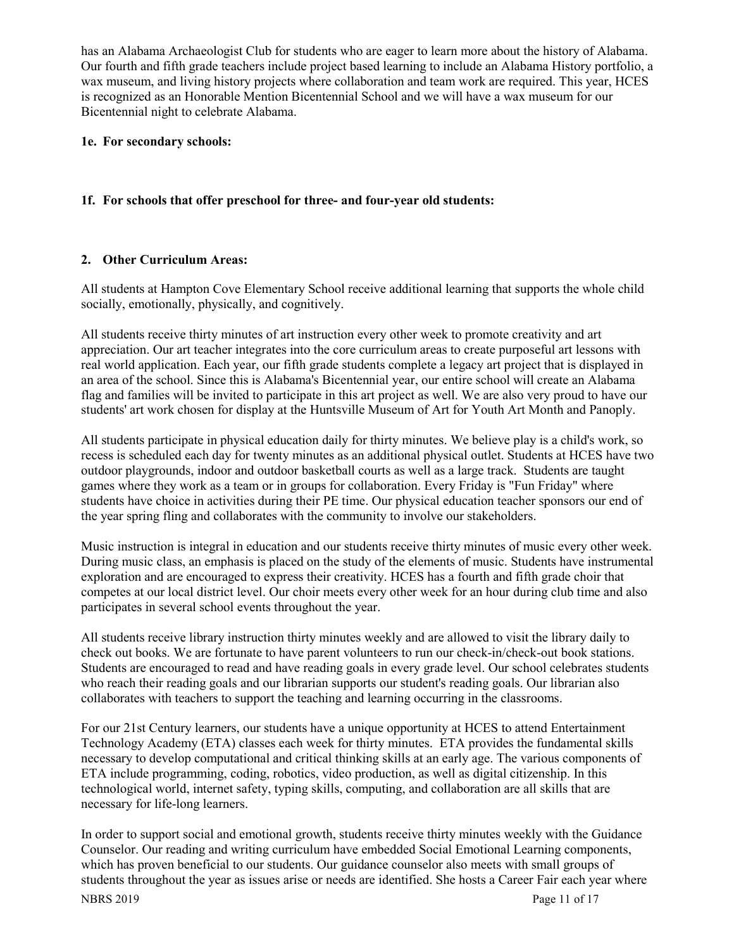has an Alabama Archaeologist Club for students who are eager to learn more about the history of Alabama. Our fourth and fifth grade teachers include project based learning to include an Alabama History portfolio, a wax museum, and living history projects where collaboration and team work are required. This year, HCES is recognized as an Honorable Mention Bicentennial School and we will have a wax museum for our Bicentennial night to celebrate Alabama.

## **1e. For secondary schools:**

## **1f. For schools that offer preschool for three- and four-year old students:**

## **2. Other Curriculum Areas:**

All students at Hampton Cove Elementary School receive additional learning that supports the whole child socially, emotionally, physically, and cognitively.

All students receive thirty minutes of art instruction every other week to promote creativity and art appreciation. Our art teacher integrates into the core curriculum areas to create purposeful art lessons with real world application. Each year, our fifth grade students complete a legacy art project that is displayed in an area of the school. Since this is Alabama's Bicentennial year, our entire school will create an Alabama flag and families will be invited to participate in this art project as well. We are also very proud to have our students' art work chosen for display at the Huntsville Museum of Art for Youth Art Month and Panoply.

All students participate in physical education daily for thirty minutes. We believe play is a child's work, so recess is scheduled each day for twenty minutes as an additional physical outlet. Students at HCES have two outdoor playgrounds, indoor and outdoor basketball courts as well as a large track. Students are taught games where they work as a team or in groups for collaboration. Every Friday is "Fun Friday" where students have choice in activities during their PE time. Our physical education teacher sponsors our end of the year spring fling and collaborates with the community to involve our stakeholders.

Music instruction is integral in education and our students receive thirty minutes of music every other week. During music class, an emphasis is placed on the study of the elements of music. Students have instrumental exploration and are encouraged to express their creativity. HCES has a fourth and fifth grade choir that competes at our local district level. Our choir meets every other week for an hour during club time and also participates in several school events throughout the year.

All students receive library instruction thirty minutes weekly and are allowed to visit the library daily to check out books. We are fortunate to have parent volunteers to run our check-in/check-out book stations. Students are encouraged to read and have reading goals in every grade level. Our school celebrates students who reach their reading goals and our librarian supports our student's reading goals. Our librarian also collaborates with teachers to support the teaching and learning occurring in the classrooms.

For our 21st Century learners, our students have a unique opportunity at HCES to attend Entertainment Technology Academy (ETA) classes each week for thirty minutes. ETA provides the fundamental skills necessary to develop computational and critical thinking skills at an early age. The various components of ETA include programming, coding, robotics, video production, as well as digital citizenship. In this technological world, internet safety, typing skills, computing, and collaboration are all skills that are necessary for life-long learners.

In order to support social and emotional growth, students receive thirty minutes weekly with the Guidance Counselor. Our reading and writing curriculum have embedded Social Emotional Learning components, which has proven beneficial to our students. Our guidance counselor also meets with small groups of students throughout the year as issues arise or needs are identified. She hosts a Career Fair each year where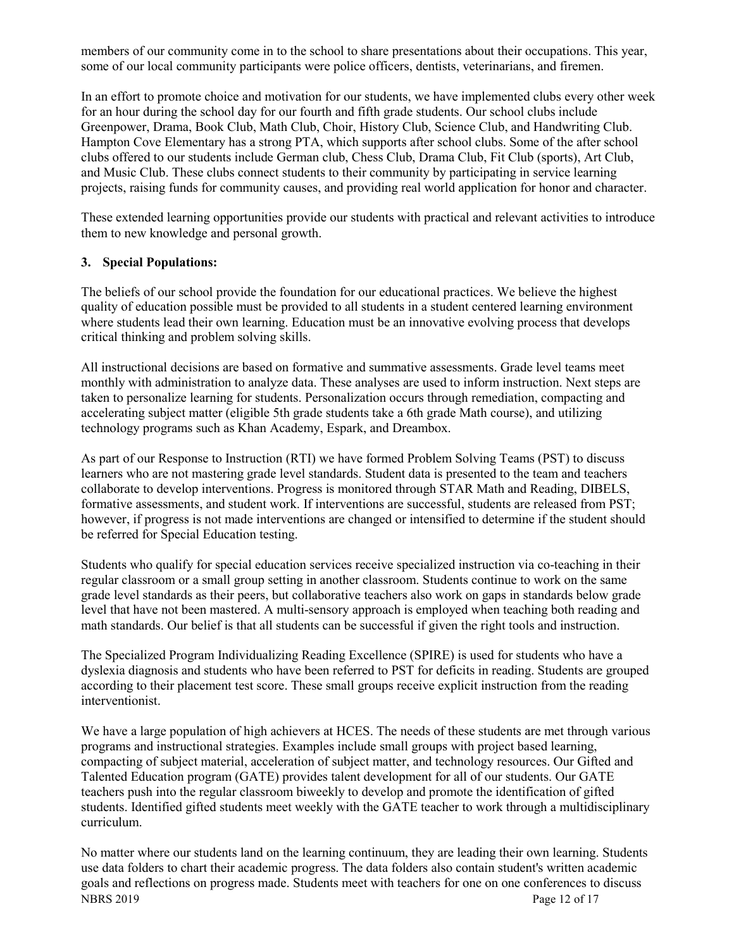members of our community come in to the school to share presentations about their occupations. This year, some of our local community participants were police officers, dentists, veterinarians, and firemen.

In an effort to promote choice and motivation for our students, we have implemented clubs every other week for an hour during the school day for our fourth and fifth grade students. Our school clubs include Greenpower, Drama, Book Club, Math Club, Choir, History Club, Science Club, and Handwriting Club. Hampton Cove Elementary has a strong PTA, which supports after school clubs. Some of the after school clubs offered to our students include German club, Chess Club, Drama Club, Fit Club (sports), Art Club, and Music Club. These clubs connect students to their community by participating in service learning projects, raising funds for community causes, and providing real world application for honor and character.

These extended learning opportunities provide our students with practical and relevant activities to introduce them to new knowledge and personal growth.

## **3. Special Populations:**

The beliefs of our school provide the foundation for our educational practices. We believe the highest quality of education possible must be provided to all students in a student centered learning environment where students lead their own learning. Education must be an innovative evolving process that develops critical thinking and problem solving skills.

All instructional decisions are based on formative and summative assessments. Grade level teams meet monthly with administration to analyze data. These analyses are used to inform instruction. Next steps are taken to personalize learning for students. Personalization occurs through remediation, compacting and accelerating subject matter (eligible 5th grade students take a 6th grade Math course), and utilizing technology programs such as Khan Academy, Espark, and Dreambox.

As part of our Response to Instruction (RTI) we have formed Problem Solving Teams (PST) to discuss learners who are not mastering grade level standards. Student data is presented to the team and teachers collaborate to develop interventions. Progress is monitored through STAR Math and Reading, DIBELS, formative assessments, and student work. If interventions are successful, students are released from PST; however, if progress is not made interventions are changed or intensified to determine if the student should be referred for Special Education testing.

Students who qualify for special education services receive specialized instruction via co-teaching in their regular classroom or a small group setting in another classroom. Students continue to work on the same grade level standards as their peers, but collaborative teachers also work on gaps in standards below grade level that have not been mastered. A multi-sensory approach is employed when teaching both reading and math standards. Our belief is that all students can be successful if given the right tools and instruction.

The Specialized Program Individualizing Reading Excellence (SPIRE) is used for students who have a dyslexia diagnosis and students who have been referred to PST for deficits in reading. Students are grouped according to their placement test score. These small groups receive explicit instruction from the reading interventionist.

We have a large population of high achievers at HCES. The needs of these students are met through various programs and instructional strategies. Examples include small groups with project based learning, compacting of subject material, acceleration of subject matter, and technology resources. Our Gifted and Talented Education program (GATE) provides talent development for all of our students. Our GATE teachers push into the regular classroom biweekly to develop and promote the identification of gifted students. Identified gifted students meet weekly with the GATE teacher to work through a multidisciplinary curriculum.

NBRS 2019 Page 12 of 17 No matter where our students land on the learning continuum, they are leading their own learning. Students use data folders to chart their academic progress. The data folders also contain student's written academic goals and reflections on progress made. Students meet with teachers for one on one conferences to discuss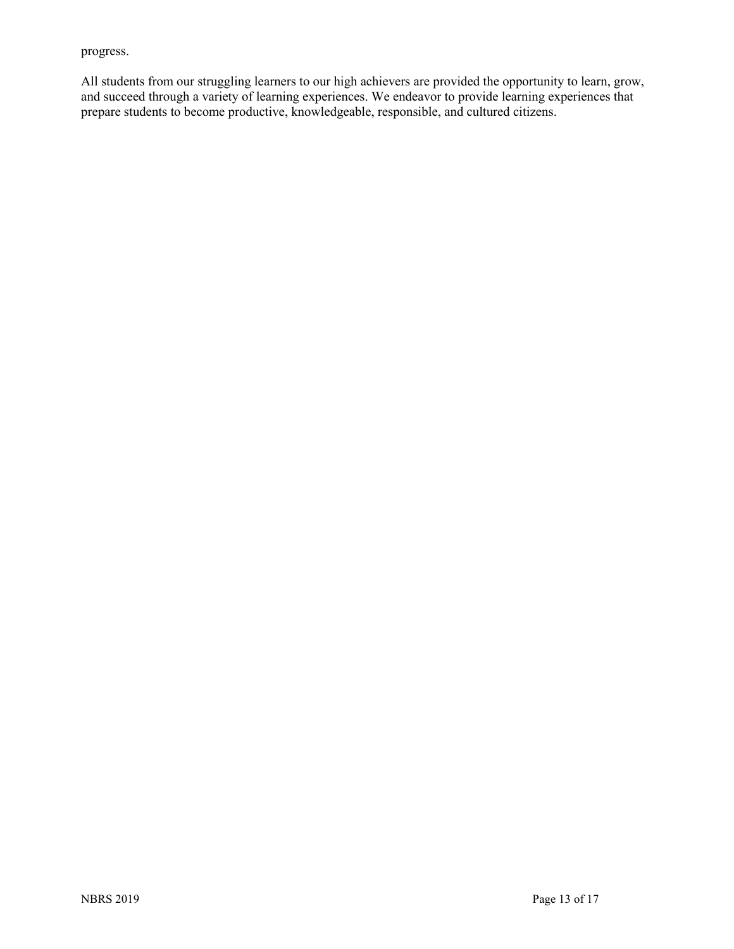progress.

All students from our struggling learners to our high achievers are provided the opportunity to learn, grow, and succeed through a variety of learning experiences. We endeavor to provide learning experiences that prepare students to become productive, knowledgeable, responsible, and cultured citizens.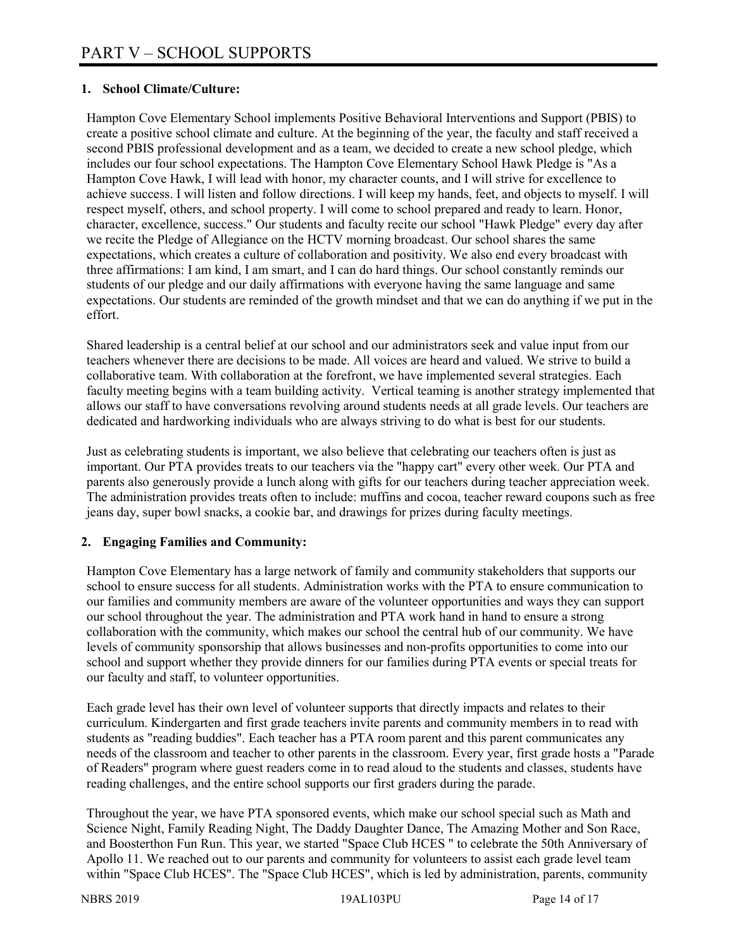## **1. School Climate/Culture:**

Hampton Cove Elementary School implements Positive Behavioral Interventions and Support (PBIS) to create a positive school climate and culture. At the beginning of the year, the faculty and staff received a second PBIS professional development and as a team, we decided to create a new school pledge, which includes our four school expectations. The Hampton Cove Elementary School Hawk Pledge is "As a Hampton Cove Hawk, I will lead with honor, my character counts, and I will strive for excellence to achieve success. I will listen and follow directions. I will keep my hands, feet, and objects to myself. I will respect myself, others, and school property. I will come to school prepared and ready to learn. Honor, character, excellence, success." Our students and faculty recite our school "Hawk Pledge" every day after we recite the Pledge of Allegiance on the HCTV morning broadcast. Our school shares the same expectations, which creates a culture of collaboration and positivity. We also end every broadcast with three affirmations: I am kind, I am smart, and I can do hard things. Our school constantly reminds our students of our pledge and our daily affirmations with everyone having the same language and same expectations. Our students are reminded of the growth mindset and that we can do anything if we put in the effort.

Shared leadership is a central belief at our school and our administrators seek and value input from our teachers whenever there are decisions to be made. All voices are heard and valued. We strive to build a collaborative team. With collaboration at the forefront, we have implemented several strategies. Each faculty meeting begins with a team building activity. Vertical teaming is another strategy implemented that allows our staff to have conversations revolving around students needs at all grade levels. Our teachers are dedicated and hardworking individuals who are always striving to do what is best for our students.

Just as celebrating students is important, we also believe that celebrating our teachers often is just as important. Our PTA provides treats to our teachers via the "happy cart" every other week. Our PTA and parents also generously provide a lunch along with gifts for our teachers during teacher appreciation week. The administration provides treats often to include: muffins and cocoa, teacher reward coupons such as free jeans day, super bowl snacks, a cookie bar, and drawings for prizes during faculty meetings.

## **2. Engaging Families and Community:**

Hampton Cove Elementary has a large network of family and community stakeholders that supports our school to ensure success for all students. Administration works with the PTA to ensure communication to our families and community members are aware of the volunteer opportunities and ways they can support our school throughout the year. The administration and PTA work hand in hand to ensure a strong collaboration with the community, which makes our school the central hub of our community. We have levels of community sponsorship that allows businesses and non-profits opportunities to come into our school and support whether they provide dinners for our families during PTA events or special treats for our faculty and staff, to volunteer opportunities.

Each grade level has their own level of volunteer supports that directly impacts and relates to their curriculum. Kindergarten and first grade teachers invite parents and community members in to read with students as "reading buddies". Each teacher has a PTA room parent and this parent communicates any needs of the classroom and teacher to other parents in the classroom. Every year, first grade hosts a "Parade of Readers" program where guest readers come in to read aloud to the students and classes, students have reading challenges, and the entire school supports our first graders during the parade.

Throughout the year, we have PTA sponsored events, which make our school special such as Math and Science Night, Family Reading Night, The Daddy Daughter Dance, The Amazing Mother and Son Race, and Boosterthon Fun Run. This year, we started "Space Club HCES " to celebrate the 50th Anniversary of Apollo 11. We reached out to our parents and community for volunteers to assist each grade level team within "Space Club HCES". The "Space Club HCES", which is led by administration, parents, community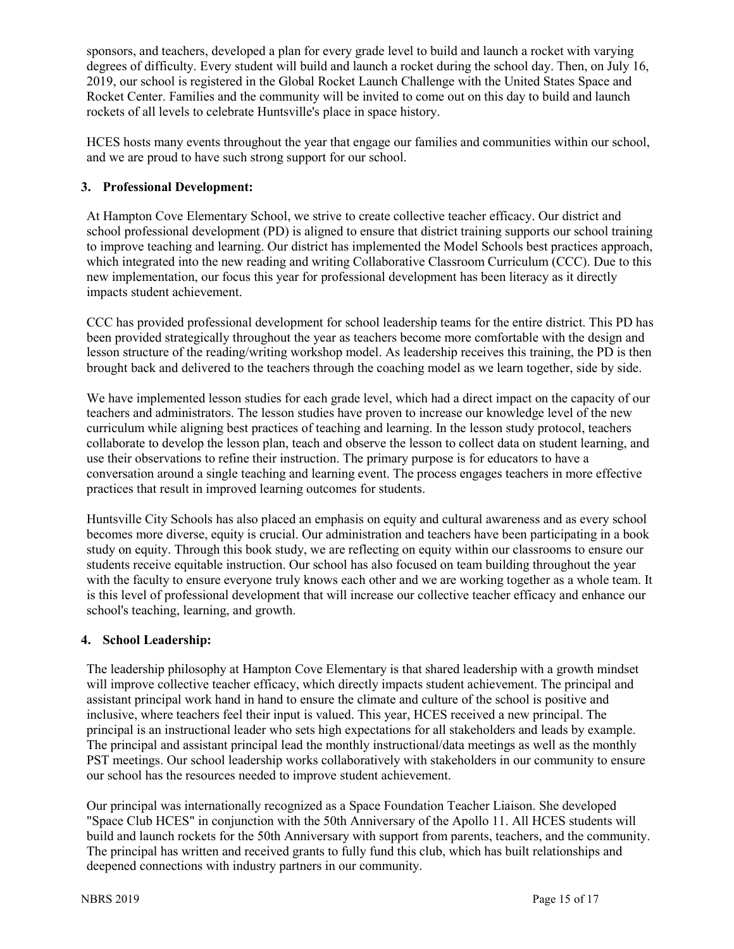sponsors, and teachers, developed a plan for every grade level to build and launch a rocket with varying degrees of difficulty. Every student will build and launch a rocket during the school day. Then, on July 16, 2019, our school is registered in the Global Rocket Launch Challenge with the United States Space and Rocket Center. Families and the community will be invited to come out on this day to build and launch rockets of all levels to celebrate Huntsville's place in space history.

HCES hosts many events throughout the year that engage our families and communities within our school, and we are proud to have such strong support for our school.

## **3. Professional Development:**

At Hampton Cove Elementary School, we strive to create collective teacher efficacy. Our district and school professional development (PD) is aligned to ensure that district training supports our school training to improve teaching and learning. Our district has implemented the Model Schools best practices approach, which integrated into the new reading and writing Collaborative Classroom Curriculum (CCC). Due to this new implementation, our focus this year for professional development has been literacy as it directly impacts student achievement.

CCC has provided professional development for school leadership teams for the entire district. This PD has been provided strategically throughout the year as teachers become more comfortable with the design and lesson structure of the reading/writing workshop model. As leadership receives this training, the PD is then brought back and delivered to the teachers through the coaching model as we learn together, side by side.

We have implemented lesson studies for each grade level, which had a direct impact on the capacity of our teachers and administrators. The lesson studies have proven to increase our knowledge level of the new curriculum while aligning best practices of teaching and learning. In the lesson study protocol, teachers collaborate to develop the lesson plan, teach and observe the lesson to collect data on student learning, and use their observations to refine their instruction. The primary purpose is for educators to have a conversation around a single teaching and learning event. The process engages teachers in more effective practices that result in improved learning outcomes for students.

Huntsville City Schools has also placed an emphasis on equity and cultural awareness and as every school becomes more diverse, equity is crucial. Our administration and teachers have been participating in a book study on equity. Through this book study, we are reflecting on equity within our classrooms to ensure our students receive equitable instruction. Our school has also focused on team building throughout the year with the faculty to ensure everyone truly knows each other and we are working together as a whole team. It is this level of professional development that will increase our collective teacher efficacy and enhance our school's teaching, learning, and growth.

## **4. School Leadership:**

The leadership philosophy at Hampton Cove Elementary is that shared leadership with a growth mindset will improve collective teacher efficacy, which directly impacts student achievement. The principal and assistant principal work hand in hand to ensure the climate and culture of the school is positive and inclusive, where teachers feel their input is valued. This year, HCES received a new principal. The principal is an instructional leader who sets high expectations for all stakeholders and leads by example. The principal and assistant principal lead the monthly instructional/data meetings as well as the monthly PST meetings. Our school leadership works collaboratively with stakeholders in our community to ensure our school has the resources needed to improve student achievement.

Our principal was internationally recognized as a Space Foundation Teacher Liaison. She developed "Space Club HCES" in conjunction with the 50th Anniversary of the Apollo 11. All HCES students will build and launch rockets for the 50th Anniversary with support from parents, teachers, and the community. The principal has written and received grants to fully fund this club, which has built relationships and deepened connections with industry partners in our community.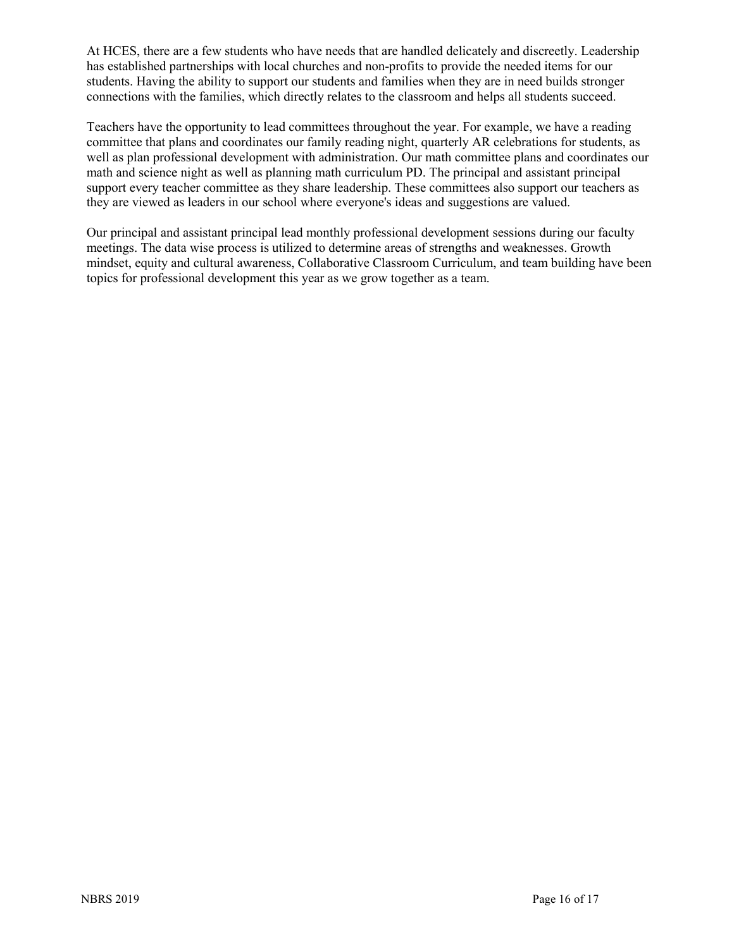At HCES, there are a few students who have needs that are handled delicately and discreetly. Leadership has established partnerships with local churches and non-profits to provide the needed items for our students. Having the ability to support our students and families when they are in need builds stronger connections with the families, which directly relates to the classroom and helps all students succeed.

Teachers have the opportunity to lead committees throughout the year. For example, we have a reading committee that plans and coordinates our family reading night, quarterly AR celebrations for students, as well as plan professional development with administration. Our math committee plans and coordinates our math and science night as well as planning math curriculum PD. The principal and assistant principal support every teacher committee as they share leadership. These committees also support our teachers as they are viewed as leaders in our school where everyone's ideas and suggestions are valued.

Our principal and assistant principal lead monthly professional development sessions during our faculty meetings. The data wise process is utilized to determine areas of strengths and weaknesses. Growth mindset, equity and cultural awareness, Collaborative Classroom Curriculum, and team building have been topics for professional development this year as we grow together as a team.